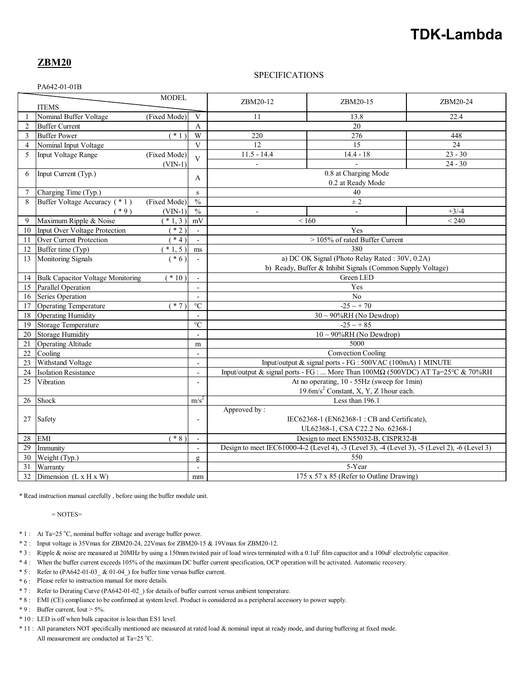# **TDK-Lambda**

## **ZBM20**

## SPECIFICATIONS

PA642-01-01B

| <b>MODEL</b><br><b>ITEMS</b> |                                                             |                                     |                          | ZBM20-12                                                                                      | ZBM20-15    | ZBM20-24  |
|------------------------------|-------------------------------------------------------------|-------------------------------------|--------------------------|-----------------------------------------------------------------------------------------------|-------------|-----------|
|                              | Nominal Buffer Voltage                                      | (Fixed Mode)                        | V                        | 11                                                                                            | 13.8        | 22.4      |
| $\overline{2}$               | <b>Buffer Current</b>                                       |                                     | $\mathbf{A}$             | 20                                                                                            |             |           |
| 3                            | <b>Buffer Power</b>                                         | $(* 1)$                             | $\overline{W}$           | 220                                                                                           | 276         | 448       |
| $\overline{4}$               | Nominal Input Voltage                                       |                                     | $\overline{\mathbf{V}}$  | $\overline{12}$                                                                               | 15          | 24        |
| 5                            | Input Voltage Range                                         | (Fixed Mode)                        |                          | $11.5 - 14.4$                                                                                 | $14.4 - 18$ | $23 - 30$ |
|                              |                                                             | $(VIN-1)$                           | $\overline{V}$           |                                                                                               |             | $24 - 30$ |
| 6                            | Input Current (Typ.)                                        |                                     |                          | 0.8 at Charging Mode                                                                          |             |           |
|                              |                                                             |                                     | A                        | 0.2 at Ready Mode                                                                             |             |           |
| 7                            | Charging Time (Typ.)                                        |                                     | ${\bf S}$                | 40                                                                                            |             |           |
| 8                            | Buffer Voltage Accuracy (*1)                                | (Fixed Mode)                        | $\frac{0}{0}$            | $\pm 2$                                                                                       |             |           |
|                              | $(*9)$                                                      | $(VIN-1)$                           | $\frac{0}{6}$            | $\overline{a}$                                                                                |             | $+3/ -4$  |
| 9                            | Maximum Ripple & Noise                                      | $*1,3)$                             | mV                       | ${}_{<160}$<br>< 240                                                                          |             |           |
| 10                           | Input Over Voltage Protection                               | $*2)$                               | $\mathbf{r}$             | Yes                                                                                           |             |           |
| 11                           | Over Current Protection                                     | $*4)$                               | $\overline{\phantom{a}}$ | > 105% of rated Buffer Current                                                                |             |           |
| 12                           | Buffer time (Typ)                                           | $*1, 5)$                            | ms                       | 380                                                                                           |             |           |
| 13                           | Monitoring Signals                                          | $(* 6)$                             |                          | a) DC OK Signal (Photo Relay Rated: 30V, 0.2A)                                                |             |           |
|                              |                                                             |                                     |                          | b) Ready, Buffer & Inhibit Signals (Common Supply Voltage)                                    |             |           |
| 14                           | <b>Bulk Capacitor Voltage Monitoring</b>                    | $*10)$                              |                          | Green LED                                                                                     |             |           |
| 15                           | <b>Parallel Operation</b>                                   |                                     | $\blacksquare$           | Yes                                                                                           |             |           |
| 16                           | Series Operation                                            |                                     | $\blacksquare$           | N <sub>o</sub>                                                                                |             |           |
| 17                           | Operating Temperature                                       | $(* 7)$                             | $\rm ^{\circ}C$          | $-25 \sim +70$                                                                                |             |           |
| 18                           | Operating Humidity                                          |                                     |                          | $30 \sim 90\% RH$ (No Dewdrop)                                                                |             |           |
| 19                           | <b>Storage Temperature</b>                                  |                                     | $\overline{C}$           | $-25 \sim +85$                                                                                |             |           |
| 20                           | <b>Storage Humidity</b>                                     |                                     | $\frac{1}{2}$            | $10 \sim 90\% RH$ (No Dewdrop)                                                                |             |           |
| 21                           | <b>Operating Altitude</b>                                   |                                     | m                        | 5000                                                                                          |             |           |
| 22                           | Cooling                                                     |                                     |                          | Convection Cooling                                                                            |             |           |
| 23                           | Withstand Voltage                                           |                                     | $\overline{a}$           | Input/output & signal ports - FG: 500VAC (100mA) 1 MINUTE                                     |             |           |
| 24                           | <b>Isolation Resistance</b>                                 |                                     | $\blacksquare$           | Input/output & signal ports - FG :  More Than $100M\Omega$ (500VDC) AT Ta=25°C & 70%RH        |             |           |
| 25                           | Vibration                                                   |                                     |                          | At no operating, 10 - 55Hz (sweep for 1min)                                                   |             |           |
|                              |                                                             |                                     |                          | 19.6m/s <sup>2</sup> Constant, X, Y, Z 1hour each.                                            |             |           |
| 26                           | Shock                                                       | m/s <sup>2</sup><br>Less than 196.1 |                          |                                                                                               |             |           |
|                              | Safety                                                      |                                     |                          | Approved by:                                                                                  |             |           |
| 27                           |                                                             |                                     |                          | IEC62368-1 (EN62368-1: CB and Certificate),                                                   |             |           |
|                              |                                                             |                                     |                          | UL62368-1, CSA C22.2 No. 62368-1                                                              |             |           |
| 28                           | $*$ 8)<br><b>EMI</b><br>Design to meet EN55032-B, CISPR32-B |                                     |                          |                                                                                               |             |           |
| 29                           | Immunity                                                    |                                     | $\blacksquare$           | Design to meet IEC61000-4-2 (Level 4), -3 (Level 3), -4 (Level 3), -5 (Level 2), -6 (Level 3) |             |           |
| 30                           | Weight (Typ.)                                               |                                     | g                        | 550                                                                                           |             |           |
| 31                           | Warranty                                                    |                                     |                          |                                                                                               | 5-Year      |           |
| 32                           | Dimension $(L \times H \times W)$                           |                                     | mm                       | $175 \times 57 \times 85$ (Refer to Outline Drawing)                                          |             |           |

\* Read instruction manual carefully , before using the buffer module unit.

= NOTES=

- \* 1 : At Ta=25 °C, nominal buffer voltage and average buffer power.
- \* 2 : Input voltage is 35Vmax for ZBM20-24, 22Vmax for ZBM20-15 & 19Vmax for ZBM20-12.
- \* 3 : Ripple & noise are measured at 20MHz by using a 150mm twisted pair of load wires terminated with a 0.1uF film capacitor and a 100uF electrolytic capacitor.
- \* 4 : When the buffer current exceeds 105% of the maximum DC buffer current specification, OCP operation will be activated. Automatic recovery.
- \* 5 : Refer to (PA642-01-03\_ & 01-04\_) for buffer time versus buffer current.
- \* 6 : Please refer to instruction manual for more details.
- \* 7 : Refer to Derating Curve (PA642-01-02\_) for details of buffer current versus ambient temperature.
- \* 8 : EMI (CE) compliance to be confirmed at system level. Product is considered as a peripheral accessory to power supply.
- $* 9$ : Buffer current, Iout > 5%.
- \* 10 : LED is off when bulk capacitor is less than ES1 level.
- \* 11 : All parameters NOT specifically mentioned are measured at rated load & nominal input at ready mode, and during buffering at fixed mode. All measurement are conducted at Ta= $25^{\circ}$ C.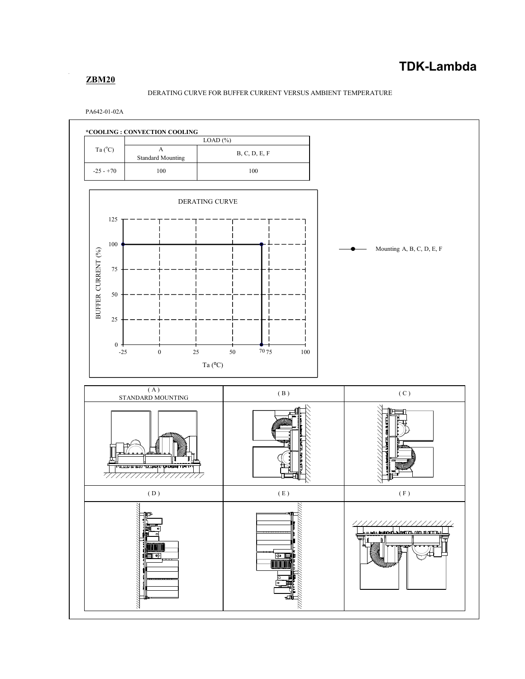## **ZBM20**

#### DERATING CURVE FOR BUFFER CURRENT VERSUS AMBIENT TEMPERATURE

PA642-01-02A

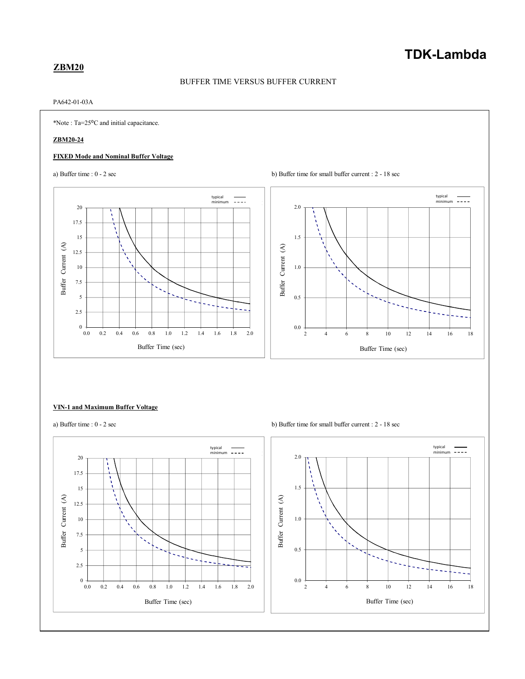## **TDK-Lambda**

## **ZBM20**

## BUFFER TIME VERSUS BUFFER CURRENT

#### PA642-01-03A

\*Note : Ta=25⁰C and initial capacitance.

#### **ZBM20-24**

#### **FIXED Mode and Nominal Buffer Voltage**





#### **VIN-1 and Maximum Buffer Voltage**

a) Buffer time :  $0 - 2 \sec$  b) Buffer time for small buffer current :  $2 - 18 \sec$